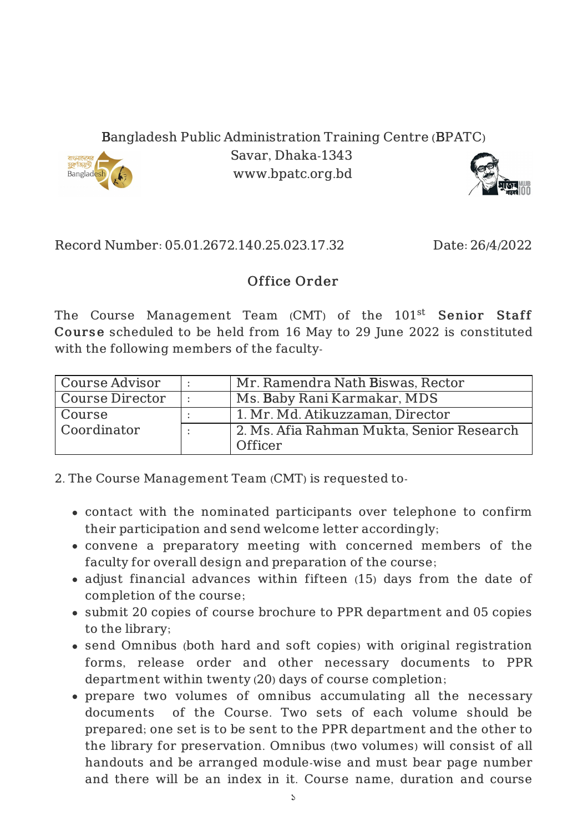Bangladesh Public Administration Training Centre (BPATC)



Savar, Dhaka-1343 www.bpatc.org.bd



Record Number: 05.01.2672.140.25.023.17.32 Date: 26/4/2022

## Office Order

The Course Management Team (CMT) of the 101<sup>st</sup> S**enior Staff** Cours e scheduled to be held from 16 May to 29 June 2022 is constituted with the following members of the faculty-

| Course Advisor  | Mr. Ramendra Nath Biswas, Rector          |
|-----------------|-------------------------------------------|
| Course Director | Ms. Baby Rani Karmakar, MDS               |
| Course          | 1. Mr. Md. Atikuzzaman, Director          |
| Coordinator     | 2. Ms. Afia Rahman Mukta, Senior Research |
|                 | Officer                                   |

2. The Course Management Team (CMT) is requested to-

- contact with the nominated participants over telephone to confirm their participation and send welcome letter accordingly;
- convene a preparatory meeting with concerned members of the faculty for overall design and preparation of the course;
- adjust financial advances within fifteen (15) days from the date of completion of the course;
- submit 20 copies of course brochure to PPR department and 05 copies to the library;
- send Omnibus (both hard and soft copies) with original registration forms, release order and other necessary documents to PPR department within twenty (20) days of course completion;
- prepare two volumes of omnibus accumulating all the necessary documents of the Course. Two sets of each volume should be prepared; one set is to be sent to the PPR department and the other to the library for preservation. Omnibus (two volumes) will consist of all handouts and be arranged module-wise and must bear page number and there will be an index in it. Course name, duration and course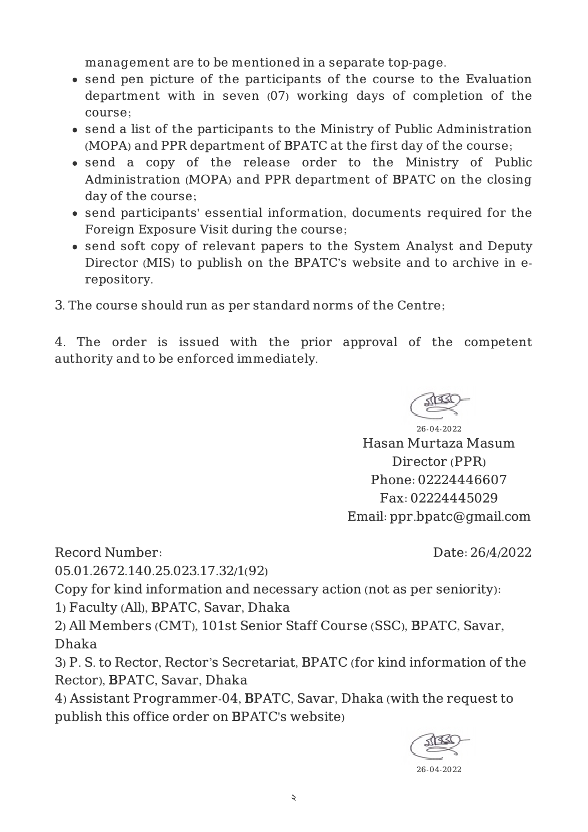management are to be mentioned in a separate top-page.

- send pen picture of the participants of the course to the Evaluation department with in seven (07) working days of completion of the course;
- send a list of the participants to the Ministry of Public Administration (MOPA) and PPR department of BPATC at the first day of the course;
- send a copy of the release order to the Ministry of Public Administration (MOPA) and PPR department of BPATC on the closing day of the course;
- send participants' essential information, documents required for the Foreign Exposure Visit during the course;
- send soft copy of relevant papers to the System Analyst and Deputy Director (MIS) to publish on the BPATC's website and to archive in erepository.
- 3. The course should run as per standard norms of the Centre;

4. The order is issued with the prior approval of the competent authority and to be enforced immediately.



26-04-2022 Hasan Murtaza Masum Director (PPR) Phone: 02224446607 Fax: 02224445029 Email: ppr.bpatc@gmail.com

Record Number:

05.01.2672.140.25.023.17.32/1(92)

Date: 26/4/2022

Copy for kind information and necessary action (not as per seniority):

1) Faculty (All), BPATC, Savar, Dhaka

2) All Members (CMT), 101st Senior Staff Course (SSC), BPATC, Savar, Dhaka

3) P. S. to Rector, Rector's Secretariat, BPATC (for kind information of the Rector), BPATC, Savar, Dhaka

4) Assistant Programmer-04, BPATC, Savar, Dhaka (with the request to publish this office order on BPATC's website)